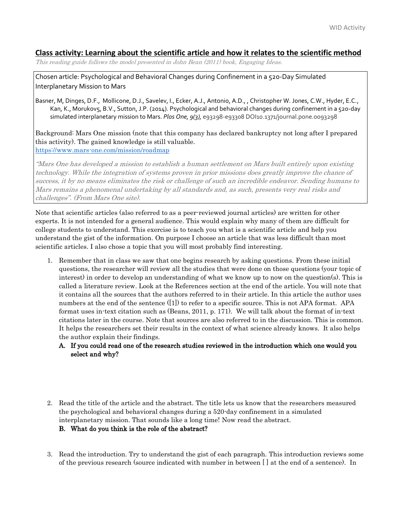# **Class activity: Learning about the scientific article and how it relates to the scientific method**

This reading guide follows the model presented in John Bean (2011) book, Engaging Ideas.

Chosen article: Psychological and Behavioral Changes during Confinement in a 520-Day Simulated Interplanetary Mission to Mars

Basner, M, Dinges, D.F., Mollicone, D.J., Savelev, I., Ecker, A.J., Antonio, A.D., , Christopher W. Jones, C.W., Hyder, E.C., Kan, K., Morukov5, B.V., Sutton, J.P. (2014). Psychological and behavioral changes during confinement in a 520-day simulated interplanetary mission to Mars. *Plos One, 9(3),* e93298-e93308 DOI10.1371/journal.pone.0093298

Background: Mars One mission (note that this company has declared bankruptcy not long after I prepared this activity). The gained knowledge is still valuable. <https://www.mars-one.com/mission/roadmap>

"Mars One has developed a mission to establish a human settlement on Mars built entirely upon existing technology. While the integration of systems proven in prior missions does greatly improve the chance of success, it by no means eliminates the risk or challenge of such an incredible endeavor. Sending humans to Mars remains a phenomenal undertaking by all standards and, as such, presents very real risks and challenges". (From Mars One site).

Note that scientific articles (also referred to as a peer-reviewed journal articles) are written for other experts. It is not intended for a general audience. This would explain why many of them are difficult for college students to understand. This exercise is to teach you what is a scientific article and help you understand the gist of the information. On purpose I choose an article that was less difficult than most scientific articles. I also chose a topic that you will most probably find interesting.

- 1. Remember that in class we saw that one begins research by asking questions. From these initial questions, the researcher will review all the studies that were done on those questions (your topic of interest) in order to develop an understanding of what we know up to now on the question(s). This is called a literature review. Look at the References section at the end of the article. You will note that it contains all the sources that the authors referred to in their article. In this article the author uses numbers at the end of the sentence ([1]) to refer to a specific source. This is not APA format. APA format uses in-text citation such as (Beans, 2011, p. 171). We will talk about the format of in-text citations later in the course. Note that sources are also referred to in the discussion. This is common. It helps the researchers set their results in the context of what science already knows. It also helps the author explain their findings.
	- A. If you could read one of the research studies reviewed in the introduction which one would you select and why?
- 2. Read the title of the article and the abstract. The title lets us know that the researchers measured the psychological and behavioral changes during a 520-day confinement in a simulated interplanetary mission. That sounds like a long time! Now read the abstract.

# B. What do you think is the role of the abstract?

3. Read the introduction. Try to understand the gist of each paragraph. This introduction reviews some of the previous research (source indicated with number in between [ ] at the end of a sentence). In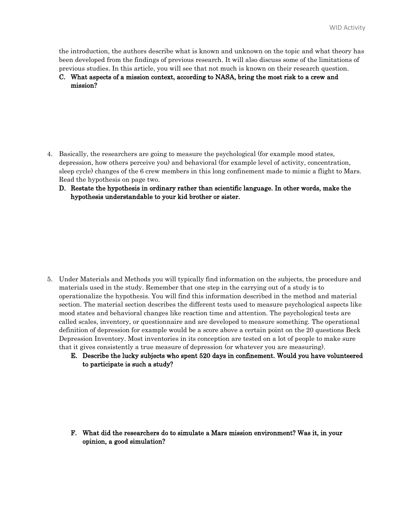the introduction, the authors describe what is known and unknown on the topic and what theory has been developed from the findings of previous research. It will also discuss some of the limitations of previous studies. In this article, you will see that not much is known on their research question.

# C. What aspects of a mission context, according to NASA, bring the most risk to a crew and mission?

- 4. Basically, the researchers are going to measure the psychological (for example mood states, depression, how others perceive you) and behavioral (for example level of activity, concentration, sleep cycle) changes of the 6 crew members in this long confinement made to mimic a flight to Mars. Read the hypothesis on page two.
	- D. Restate the hypothesis in ordinary rather than scientific language. In other words, make the hypothesis understandable to your kid brother or sister.

- 5. Under Materials and Methods you will typically find information on the subjects, the procedure and materials used in the study. Remember that one step in the carrying out of a study is to operationalize the hypothesis. You will find this information described in the method and material section. The material section describes the different tests used to measure psychological aspects like mood states and behavioral changes like reaction time and attention. The psychological tests are called scales, inventory, or questionnaire and are developed to measure something. The operational definition of depression for example would be a score above a certain point on the 20 questions Beck Depression Inventory. Most inventories in its conception are tested on a lot of people to make sure that it gives consistently a true measure of depression (or whatever you are measuring).
	- E. Describe the lucky subjects who spent 520 days in confinement. Would you have volunteered to participate is such a study?

F. What did the researchers do to simulate a Mars mission environment? Was it, in your opinion, a good simulation?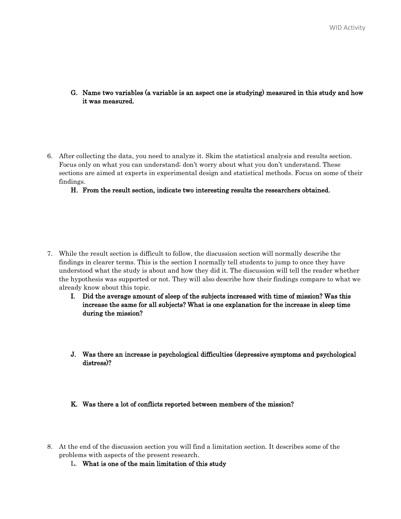- G. Name two variables (a variable is an aspect one is studying) measured in this study and how it was measured.
- 6. After collecting the data, you need to analyze it. Skim the statistical analysis and results section. Focus only on what you can understand; don't worry about what you don't understand. These sections are aimed at experts in experimental design and statistical methods. Focus on some of their findings.

## H. From the result section, indicate two interesting results the researchers obtained.

- 7. While the result section is difficult to follow, the discussion section will normally describe the findings in clearer terms. This is the section I normally tell students to jump to once they have understood what the study is about and how they did it. The discussion will tell the reader whether the hypothesis was supported or not. They will also describe how their findings compare to what we already know about this topic.
	- I. Did the average amount of sleep of the subjects increased with time of mission? Was this increase the same for all subjects? What is one explanation for the increase in sleep time during the mission?
	- J. Was there an increase is psychological difficulties (depressive symptoms and psychological distress)?

### K. Was there a lot of conflicts reported between members of the mission?

- 8. At the end of the discussion section you will find a limitation section. It describes some of the problems with aspects of the present research.
	- L. What is one of the main limitation of this study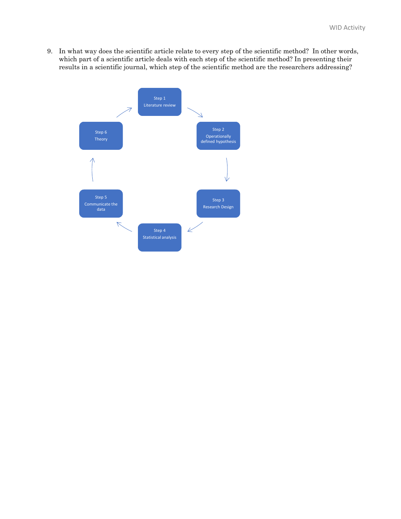9. In what way does the scientific article relate to every step of the scientific method? In other words, which part of a scientific article deals with each step of the scientific method? In presenting their results in a scientific journal, which step of the scientific method are the researchers addressing?